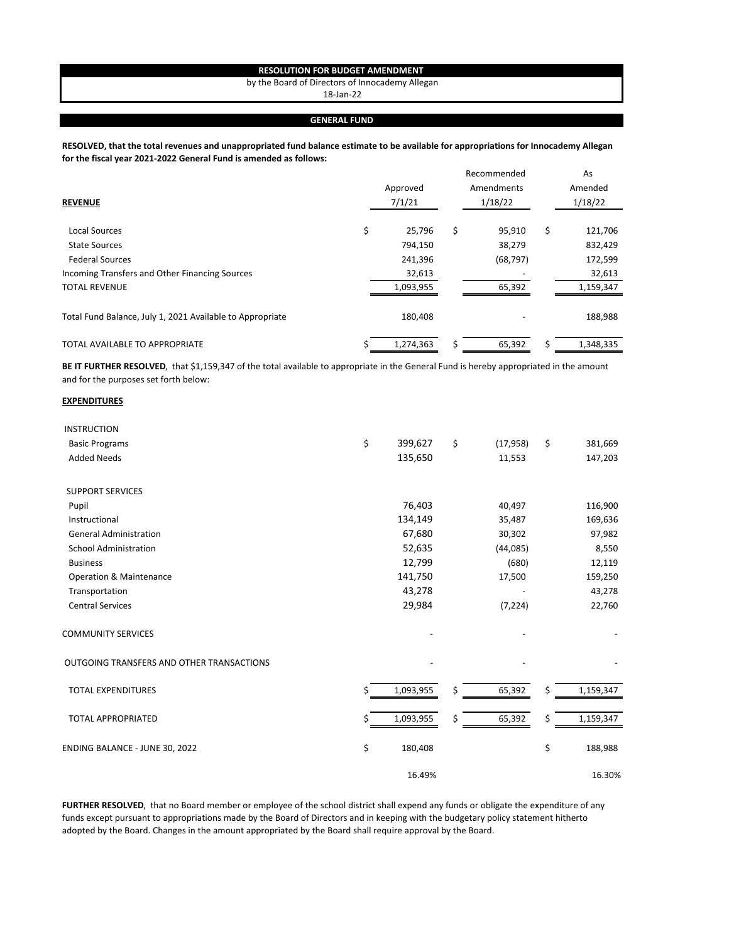## **RESOLUTION FOR BUDGET AMENDMENT**

by the Board of Directors of Innocademy Allegan

18‐Jan‐22

## **GENERAL FUND**

## **RESOLVED, that the total revenues and unappropriated fund balance estimate to be available for appropriations for Innocademy Allegan for the fiscal year 2021‐2022 General Fund is amended as follows:**

| <b>REVENUE</b>                                            |    | Approved<br>7/1/21 | Recommended<br>Amendments<br>1/18/22 | As<br>Amended<br>1/18/22 |
|-----------------------------------------------------------|----|--------------------|--------------------------------------|--------------------------|
| <b>Local Sources</b>                                      | \$ | 25,796             | \$<br>95,910                         | \$<br>121,706            |
| <b>State Sources</b>                                      |    | 794,150            | 38,279                               | 832,429                  |
| <b>Federal Sources</b>                                    |    | 241,396            | (68, 797)                            | 172,599                  |
| Incoming Transfers and Other Financing Sources            |    | 32,613             |                                      | 32,613                   |
| <b>TOTAL REVENUE</b>                                      |    | 1,093,955          | 65,392                               | 1,159,347                |
| Total Fund Balance, July 1, 2021 Available to Appropriate |    | 180,408            |                                      | 188,988                  |
| <b>TOTAL AVAILABLE TO APPROPRIATE</b>                     | S  | 1,274,363          | 65,392                               | 1,348,335                |

**BE IT FURTHER RESOLVED**, that \$1,159,347 of the total available to appropriate in the General Fund is hereby appropriated in the amount and for the purposes set forth below:

## **EXPENDITURES**

| <b>INSTRUCTION</b>                        |    |           |    |           |                 |
|-------------------------------------------|----|-----------|----|-----------|-----------------|
| <b>Basic Programs</b>                     | \$ | 399,627   | \$ | (17, 958) | \$<br>381,669   |
| <b>Added Needs</b>                        |    | 135,650   |    | 11,553    | 147,203         |
| <b>SUPPORT SERVICES</b>                   |    |           |    |           |                 |
| Pupil                                     |    | 76,403    |    | 40,497    | 116,900         |
| Instructional                             |    | 134,149   |    | 35,487    | 169,636         |
| <b>General Administration</b>             |    | 67,680    |    | 30,302    | 97,982          |
| <b>School Administration</b>              |    | 52,635    |    | (44, 085) | 8,550           |
| <b>Business</b>                           |    | 12,799    |    | (680)     | 12,119          |
| <b>Operation &amp; Maintenance</b>        |    | 141,750   |    | 17,500    | 159,250         |
| Transportation                            |    | 43,278    |    |           | 43,278          |
| <b>Central Services</b>                   |    | 29,984    |    | (7, 224)  | 22,760          |
| <b>COMMUNITY SERVICES</b>                 |    |           |    |           |                 |
| OUTGOING TRANSFERS AND OTHER TRANSACTIONS |    |           |    |           |                 |
| <b>TOTAL EXPENDITURES</b>                 | Ś  | 1,093,955 | \$ | 65,392    | \$<br>1,159,347 |
| <b>TOTAL APPROPRIATED</b>                 | Ś  | 1,093,955 | Ś  | 65,392    | \$<br>1,159,347 |
| ENDING BALANCE - JUNE 30, 2022            | \$ | 180,408   |    |           | \$<br>188,988   |
|                                           |    | 16.49%    |    |           | 16.30%          |

**FURTHER RESOLVED**, that no Board member or employee of the school district shall expend any funds or obligate the expenditure of any funds except pursuant to appropriations made by the Board of Directors and in keeping with the budgetary policy statement hitherto adopted by the Board. Changes in the amount appropriated by the Board shall require approval by the Board.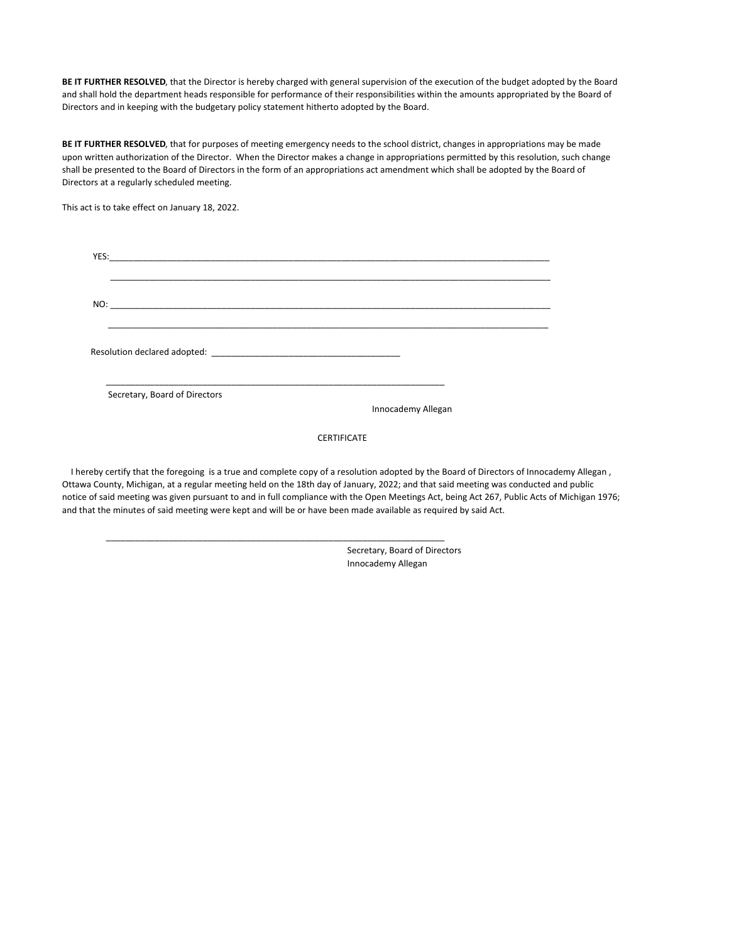**BE IT FURTHER RESOLVED**, that the Director is hereby charged with general supervision of the execution of the budget adopted by the Board and shall hold the department heads responsible for performance of their responsibilities within the amounts appropriated by the Board of Directors and in keeping with the budgetary policy statement hitherto adopted by the Board.

**BE IT FURTHER RESOLVED**, that for purposes of meeting emergency needs to the school district, changes in appropriations may be made upon written authorization of the Director. When the Director makes a change in appropriations permitted by this resolution, such change shall be presented to the Board of Directors in the form of an appropriations act amendment which shall be adopted by the Board of Directors at a regularly scheduled meeting.

This act is to take effect on January 18, 2022.

| Secretary, Board of Directors |  |
|-------------------------------|--|

**CERTIFICATE** 

 I hereby certify that the foregoing is a true and complete copy of a resolution adopted by the Board of Directors of Innocademy Allegan , Ottawa County, Michigan, at a regular meeting held on the 18th day of January, 2022; and that said meeting was conducted and public notice of said meeting was given pursuant to and in full compliance with the Open Meetings Act, being Act 267, Public Acts of Michigan 1976; and that the minutes of said meeting were kept and will be or have been made available as required by said Act.

\_\_\_\_\_\_\_\_\_\_\_\_\_\_\_\_\_\_\_\_\_\_\_\_\_\_\_\_\_\_\_\_\_\_\_\_\_\_\_\_\_\_\_\_\_\_\_\_\_\_\_\_\_\_\_\_\_\_\_\_\_\_\_\_\_\_\_\_\_\_

 Secretary, Board of Directors Innocademy Allegan